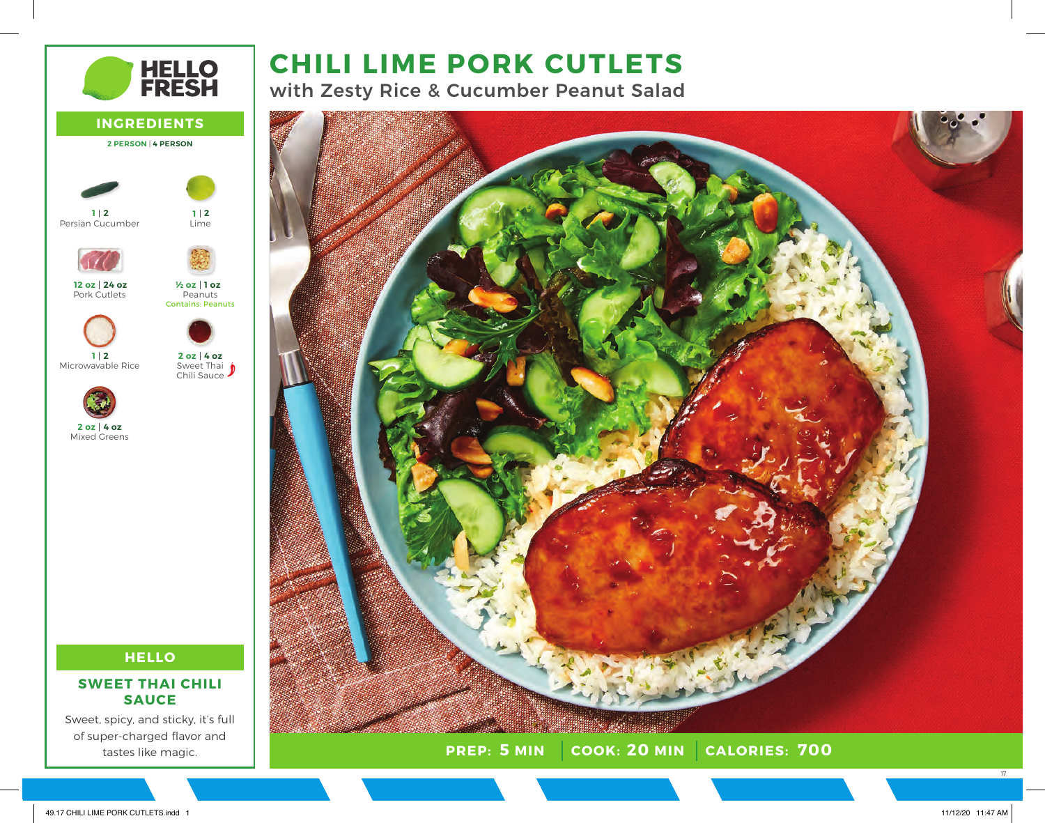# **CHILI LIME PORK CUTLETS**

with Zesty Rice & Cucumber Peanut Salad



**PREP: COOK: CALORIES: 5 MIN 20 MIN 700**

**HELLO<br>FRESH INGREDIENTS 2 PERSON** | **4 PERSON 2 1 2 1** Persian Cucumber Lime **24 oz 12 oz 1 oz ½ oz** Pork Cutlets Peanuts Contains: Peanuts **2 1 4 oz 2 oz** Microwavable Rice Sweet Thai Chili Sauce **4 oz 2 oz** Mixed Greens

## **HELLO**

## **SWEET THAI CHILI SAUCE**

Sweet, spicy, and sticky, it's full of super-charged flavor and tastes like magic.

17